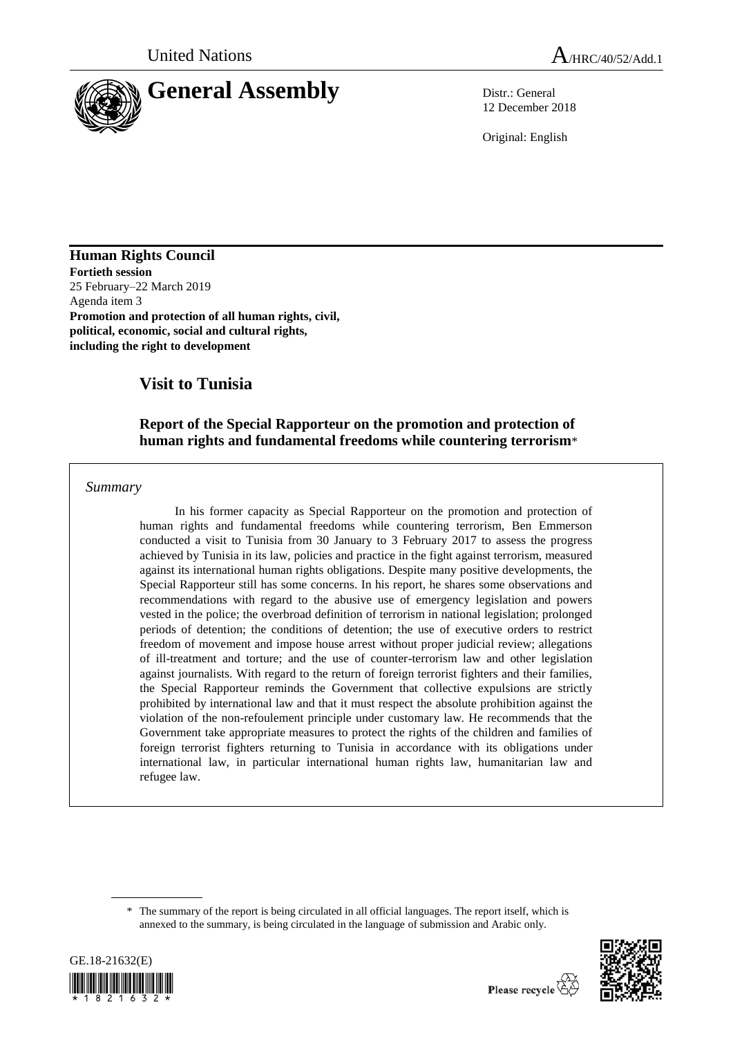

12 December 2018

Original: English

**Human Rights Council Fortieth session** 25 February–22 March 2019 Agenda item 3 **Promotion and protection of all human rights, civil, political, economic, social and cultural rights, including the right to development** 

# **Visit to Tunisia**

### **Report of the Special Rapporteur on the promotion and protection of human rights and fundamental freedoms while countering terrorism**\*

*Summary*

In his former capacity as Special Rapporteur on the promotion and protection of human rights and fundamental freedoms while countering terrorism, Ben Emmerson conducted a visit to Tunisia from 30 January to 3 February 2017 to assess the progress achieved by Tunisia in its law, policies and practice in the fight against terrorism, measured against its international human rights obligations. Despite many positive developments, the Special Rapporteur still has some concerns. In his report, he shares some observations and recommendations with regard to the abusive use of emergency legislation and powers vested in the police; the overbroad definition of terrorism in national legislation; prolonged periods of detention; the conditions of detention; the use of executive orders to restrict freedom of movement and impose house arrest without proper judicial review; allegations of ill-treatment and torture; and the use of counter-terrorism law and other legislation against journalists. With regard to the return of foreign terrorist fighters and their families, the Special Rapporteur reminds the Government that collective expulsions are strictly prohibited by international law and that it must respect the absolute prohibition against the violation of the non-refoulement principle under customary law. He recommends that the Government take appropriate measures to protect the rights of the children and families of foreign terrorist fighters returning to Tunisia in accordance with its obligations under international law, in particular international human rights law, humanitarian law and refugee law.

<sup>\*</sup> The summary of the report is being circulated in all official languages. The report itself, which is annexed to the summary, is being circulated in the language of submission and Arabic only.



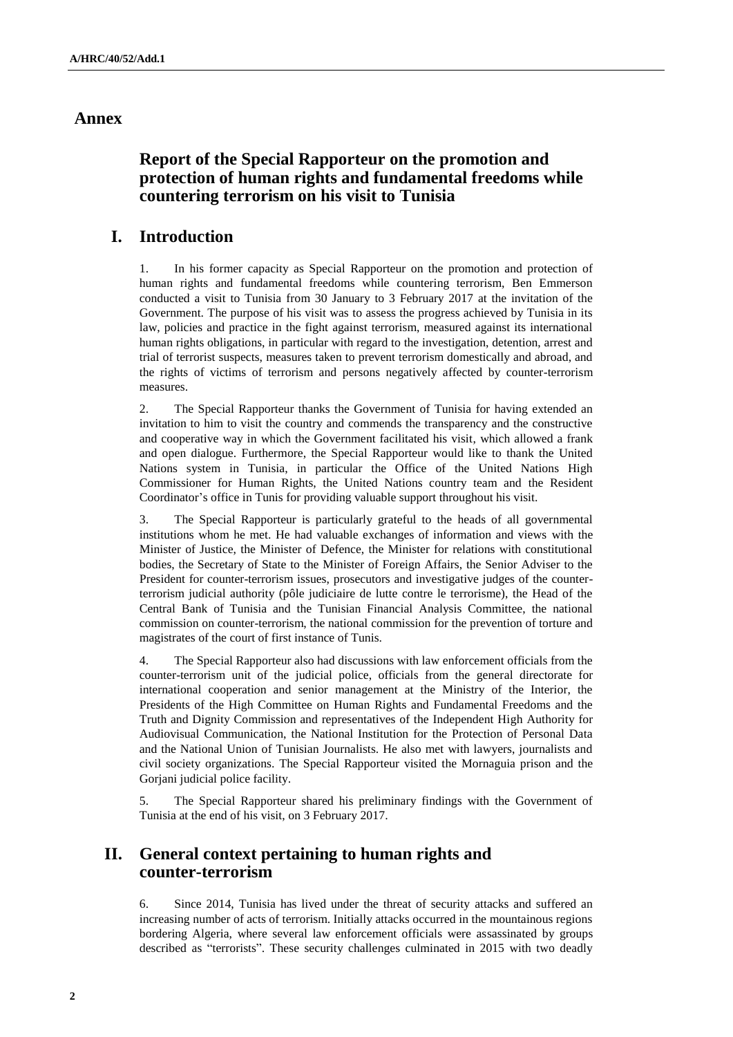## **Annex**

## **Report of the Special Rapporteur on the promotion and protection of human rights and fundamental freedoms while countering terrorism on his visit to Tunisia**

## **I. Introduction**

1. In his former capacity as Special Rapporteur on the promotion and protection of human rights and fundamental freedoms while countering terrorism, Ben Emmerson conducted a visit to Tunisia from 30 January to 3 February 2017 at the invitation of the Government. The purpose of his visit was to assess the progress achieved by Tunisia in its law, policies and practice in the fight against terrorism, measured against its international human rights obligations, in particular with regard to the investigation, detention, arrest and trial of terrorist suspects, measures taken to prevent terrorism domestically and abroad, and the rights of victims of terrorism and persons negatively affected by counter-terrorism measures.

2. The Special Rapporteur thanks the Government of Tunisia for having extended an invitation to him to visit the country and commends the transparency and the constructive and cooperative way in which the Government facilitated his visit, which allowed a frank and open dialogue. Furthermore, the Special Rapporteur would like to thank the United Nations system in Tunisia, in particular the Office of the United Nations High Commissioner for Human Rights, the United Nations country team and the Resident Coordinator's office in Tunis for providing valuable support throughout his visit.

3. The Special Rapporteur is particularly grateful to the heads of all governmental institutions whom he met. He had valuable exchanges of information and views with the Minister of Justice, the Minister of Defence, the Minister for relations with constitutional bodies, the Secretary of State to the Minister of Foreign Affairs, the Senior Adviser to the President for counter-terrorism issues, prosecutors and investigative judges of the counterterrorism judicial authority (pôle judiciaire de lutte contre le terrorisme), the Head of the Central Bank of Tunisia and the Tunisian Financial Analysis Committee, the national commission on counter-terrorism, the national commission for the prevention of torture and magistrates of the court of first instance of Tunis.

4. The Special Rapporteur also had discussions with law enforcement officials from the counter-terrorism unit of the judicial police, officials from the general directorate for international cooperation and senior management at the Ministry of the Interior, the Presidents of the High Committee on Human Rights and Fundamental Freedoms and the Truth and Dignity Commission and representatives of the Independent High Authority for Audiovisual Communication, the National Institution for the Protection of Personal Data and the National Union of Tunisian Journalists. He also met with lawyers, journalists and civil society organizations. The Special Rapporteur visited the Mornaguia prison and the Gorjani judicial police facility.

5. The Special Rapporteur shared his preliminary findings with the Government of Tunisia at the end of his visit, on 3 February 2017.

## **II. General context pertaining to human rights and counter-terrorism**

6. Since 2014, Tunisia has lived under the threat of security attacks and suffered an increasing number of acts of terrorism. Initially attacks occurred in the mountainous regions bordering Algeria, where several law enforcement officials were assassinated by groups described as "terrorists". These security challenges culminated in 2015 with two deadly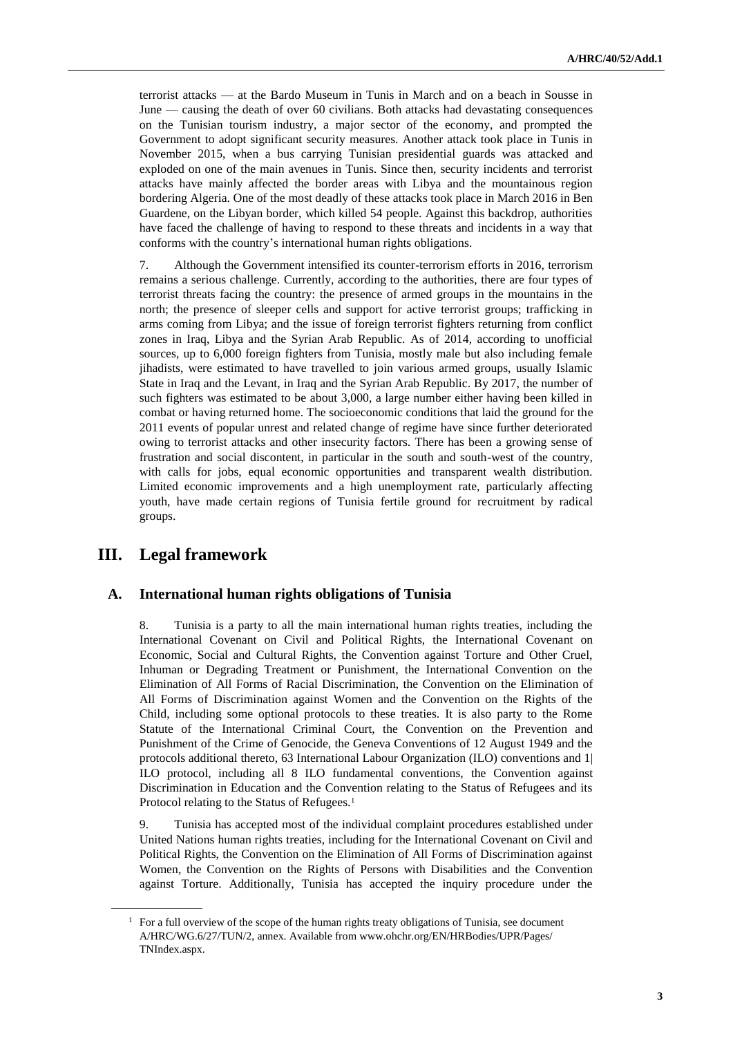terrorist attacks — at the Bardo Museum in Tunis in March and on a beach in Sousse in June — causing the death of over 60 civilians. Both attacks had devastating consequences on the Tunisian tourism industry, a major sector of the economy, and prompted the Government to adopt significant security measures. Another attack took place in Tunis in November 2015, when a bus carrying Tunisian presidential guards was attacked and exploded on one of the main avenues in Tunis. Since then, security incidents and terrorist attacks have mainly affected the border areas with Libya and the mountainous region bordering Algeria. One of the most deadly of these attacks took place in March 2016 in Ben Guardene, on the Libyan border, which killed 54 people. Against this backdrop, authorities have faced the challenge of having to respond to these threats and incidents in a way that conforms with the country's international human rights obligations.

7. Although the Government intensified its counter-terrorism efforts in 2016, terrorism remains a serious challenge. Currently, according to the authorities, there are four types of terrorist threats facing the country: the presence of armed groups in the mountains in the north; the presence of sleeper cells and support for active terrorist groups; trafficking in arms coming from Libya; and the issue of foreign terrorist fighters returning from conflict zones in Iraq, Libya and the Syrian Arab Republic. As of 2014, according to unofficial sources, up to 6,000 foreign fighters from Tunisia, mostly male but also including female jihadists, were estimated to have travelled to join various armed groups, usually Islamic State in Iraq and the Levant, in Iraq and the Syrian Arab Republic. By 2017, the number of such fighters was estimated to be about 3,000, a large number either having been killed in combat or having returned home. The socioeconomic conditions that laid the ground for the 2011 events of popular unrest and related change of regime have since further deteriorated owing to terrorist attacks and other insecurity factors. There has been a growing sense of frustration and social discontent, in particular in the south and south-west of the country, with calls for jobs, equal economic opportunities and transparent wealth distribution. Limited economic improvements and a high unemployment rate, particularly affecting youth, have made certain regions of Tunisia fertile ground for recruitment by radical groups.

## **III. Legal framework**

### **A. International human rights obligations of Tunisia**

8. Tunisia is a party to all the main international human rights treaties, including the International Covenant on Civil and Political Rights, the International Covenant on Economic, Social and Cultural Rights, the Convention against Torture and Other Cruel, Inhuman or Degrading Treatment or Punishment, the International Convention on the Elimination of All Forms of Racial Discrimination, the Convention on the Elimination of All Forms of Discrimination against Women and the Convention on the Rights of the Child, including some optional protocols to these treaties. It is also party to the Rome Statute of the International Criminal Court, the Convention on the Prevention and Punishment of the Crime of Genocide, the Geneva Conventions of 12 August 1949 and the protocols additional thereto, 63 International Labour Organization (ILO) conventions and 1| ILO protocol, including all 8 ILO fundamental conventions, the Convention against Discrimination in Education and the Convention relating to the Status of Refugees and its Protocol relating to the Status of Refugees.<sup>1</sup>

9. Tunisia has accepted most of the individual complaint procedures established under United Nations human rights treaties, including for the International Covenant on Civil and Political Rights, the Convention on the Elimination of All Forms of Discrimination against Women, the Convention on the Rights of Persons with Disabilities and the Convention against Torture. Additionally, Tunisia has accepted the inquiry procedure under the

 $1$  For a full overview of the scope of the human rights treaty obligations of Tunisia, see document A/HRC/WG.6/27/TUN/2, annex. Available from www.ohchr.org/EN/HRBodies/UPR/Pages/ TNIndex.aspx.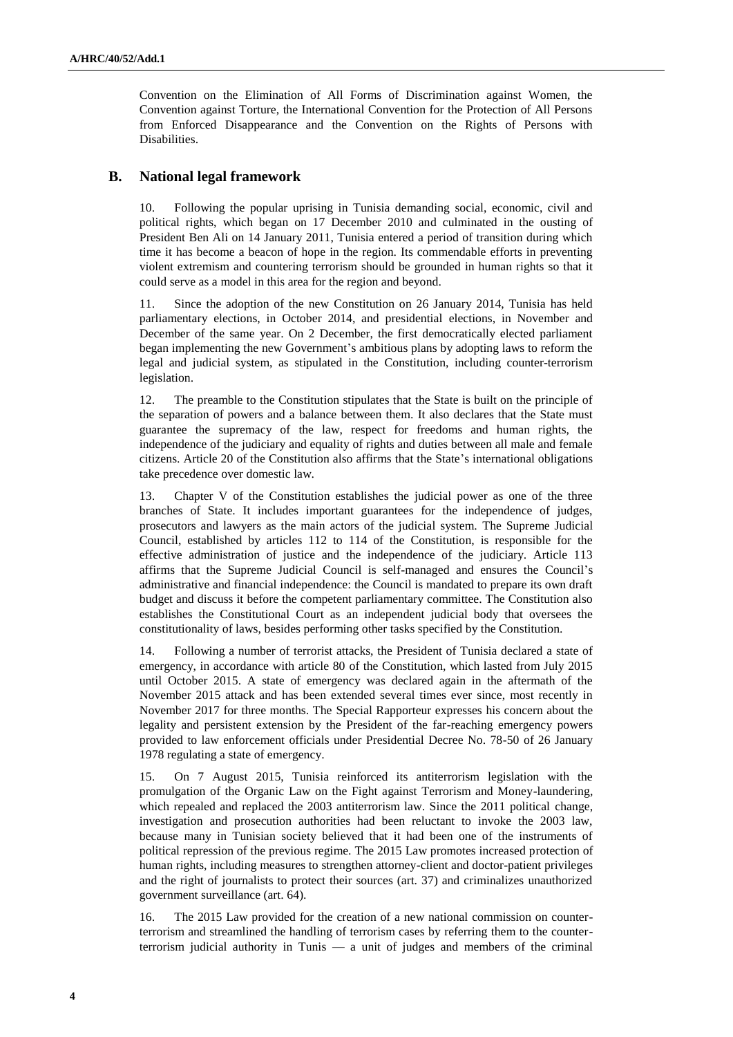Convention on the Elimination of All Forms of Discrimination against Women, the Convention against Torture, the International Convention for the Protection of All Persons from Enforced Disappearance and the Convention on the Rights of Persons with Disabilities.

### **B. National legal framework**

10. Following the popular uprising in Tunisia demanding social, economic, civil and political rights, which began on 17 December 2010 and culminated in the ousting of President Ben Ali on 14 January 2011, Tunisia entered a period of transition during which time it has become a beacon of hope in the region. Its commendable efforts in preventing violent extremism and countering terrorism should be grounded in human rights so that it could serve as a model in this area for the region and beyond.

11. Since the adoption of the new Constitution on 26 January 2014, Tunisia has held parliamentary elections, in October 2014, and presidential elections, in November and December of the same year. On 2 December, the first democratically elected parliament began implementing the new Government's ambitious plans by adopting laws to reform the legal and judicial system, as stipulated in the Constitution, including counter-terrorism legislation.

12. The preamble to the Constitution stipulates that the State is built on the principle of the separation of powers and a balance between them. It also declares that the State must guarantee the supremacy of the law, respect for freedoms and human rights, the independence of the judiciary and equality of rights and duties between all male and female citizens. Article 20 of the Constitution also affirms that the State's international obligations take precedence over domestic law.

13. Chapter V of the Constitution establishes the judicial power as one of the three branches of State. It includes important guarantees for the independence of judges, prosecutors and lawyers as the main actors of the judicial system. The Supreme Judicial Council, established by articles 112 to 114 of the Constitution, is responsible for the effective administration of justice and the independence of the judiciary. Article 113 affirms that the Supreme Judicial Council is self-managed and ensures the Council's administrative and financial independence: the Council is mandated to prepare its own draft budget and discuss it before the competent parliamentary committee. The Constitution also establishes the Constitutional Court as an independent judicial body that oversees the constitutionality of laws, besides performing other tasks specified by the Constitution.

14. Following a number of terrorist attacks, the President of Tunisia declared a state of emergency, in accordance with article 80 of the Constitution, which lasted from July 2015 until October 2015. A state of emergency was declared again in the aftermath of the November 2015 attack and has been extended several times ever since, most recently in November 2017 for three months. The Special Rapporteur expresses his concern about the legality and persistent extension by the President of the far-reaching emergency powers provided to law enforcement officials under Presidential Decree No. 78-50 of 26 January 1978 regulating a state of emergency.

15. On 7 August 2015, Tunisia reinforced its antiterrorism legislation with the promulgation of the Organic Law on the Fight against Terrorism and Money-laundering, which repealed and replaced the 2003 antiterrorism law. Since the 2011 political change, investigation and prosecution authorities had been reluctant to invoke the 2003 law, because many in Tunisian society believed that it had been one of the instruments of political repression of the previous regime. The 2015 Law promotes increased protection of human rights, including measures to strengthen attorney-client and doctor-patient privileges and the right of journalists to protect their sources (art. 37) and criminalizes unauthorized government surveillance (art. 64).

16. The 2015 Law provided for the creation of a new national commission on counterterrorism and streamlined the handling of terrorism cases by referring them to the counterterrorism judicial authority in Tunis — a unit of judges and members of the criminal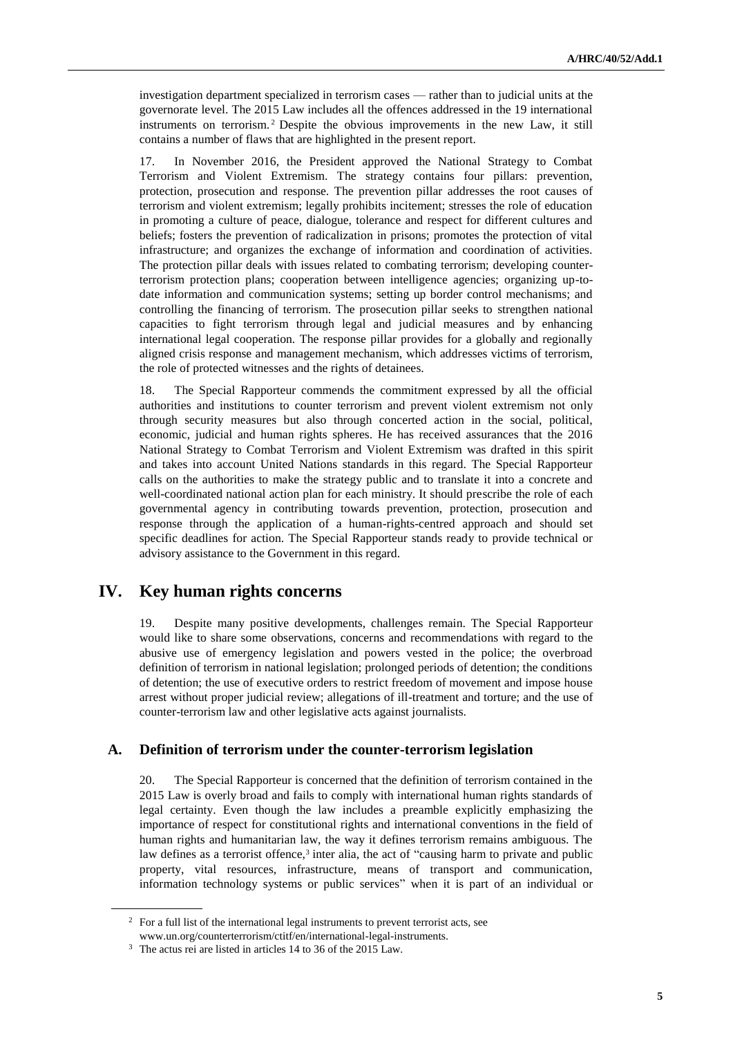investigation department specialized in terrorism cases — rather than to judicial units at the governorate level. The 2015 Law includes all the offences addressed in the 19 international instruments on terrorism. <sup>2</sup> Despite the obvious improvements in the new Law, it still contains a number of flaws that are highlighted in the present report.

17. In November 2016, the President approved the National Strategy to Combat Terrorism and Violent Extremism. The strategy contains four pillars: prevention, protection, prosecution and response. The prevention pillar addresses the root causes of terrorism and violent extremism; legally prohibits incitement; stresses the role of education in promoting a culture of peace, dialogue, tolerance and respect for different cultures and beliefs; fosters the prevention of radicalization in prisons; promotes the protection of vital infrastructure; and organizes the exchange of information and coordination of activities. The protection pillar deals with issues related to combating terrorism; developing counterterrorism protection plans; cooperation between intelligence agencies; organizing up-todate information and communication systems; setting up border control mechanisms; and controlling the financing of terrorism. The prosecution pillar seeks to strengthen national capacities to fight terrorism through legal and judicial measures and by enhancing international legal cooperation. The response pillar provides for a globally and regionally aligned crisis response and management mechanism, which addresses victims of terrorism, the role of protected witnesses and the rights of detainees.

18. The Special Rapporteur commends the commitment expressed by all the official authorities and institutions to counter terrorism and prevent violent extremism not only through security measures but also through concerted action in the social, political, economic, judicial and human rights spheres. He has received assurances that the 2016 National Strategy to Combat Terrorism and Violent Extremism was drafted in this spirit and takes into account United Nations standards in this regard. The Special Rapporteur calls on the authorities to make the strategy public and to translate it into a concrete and well-coordinated national action plan for each ministry. It should prescribe the role of each governmental agency in contributing towards prevention, protection, prosecution and response through the application of a human-rights-centred approach and should set specific deadlines for action. The Special Rapporteur stands ready to provide technical or advisory assistance to the Government in this regard.

## **IV. Key human rights concerns**

19. Despite many positive developments, challenges remain. The Special Rapporteur would like to share some observations, concerns and recommendations with regard to the abusive use of emergency legislation and powers vested in the police; the overbroad definition of terrorism in national legislation; prolonged periods of detention; the conditions of detention; the use of executive orders to restrict freedom of movement and impose house arrest without proper judicial review; allegations of ill-treatment and torture; and the use of counter-terrorism law and other legislative acts against journalists.

### **A. Definition of terrorism under the counter-terrorism legislation**

20. The Special Rapporteur is concerned that the definition of terrorism contained in the 2015 Law is overly broad and fails to comply with international human rights standards of legal certainty. Even though the law includes a preamble explicitly emphasizing the importance of respect for constitutional rights and international conventions in the field of human rights and humanitarian law, the way it defines terrorism remains ambiguous. The law defines as a terrorist offence, $3$  inter alia, the act of "causing harm to private and public property, vital resources, infrastructure, means of transport and communication, information technology systems or public services" when it is part of an individual or

<sup>&</sup>lt;sup>2</sup> For a full list of the international legal instruments to prevent terrorist acts, see www.un.org/counterterrorism/ctitf/en/international-legal-instruments.

<sup>3</sup> The actus rei are listed in articles 14 to 36 of the 2015 Law.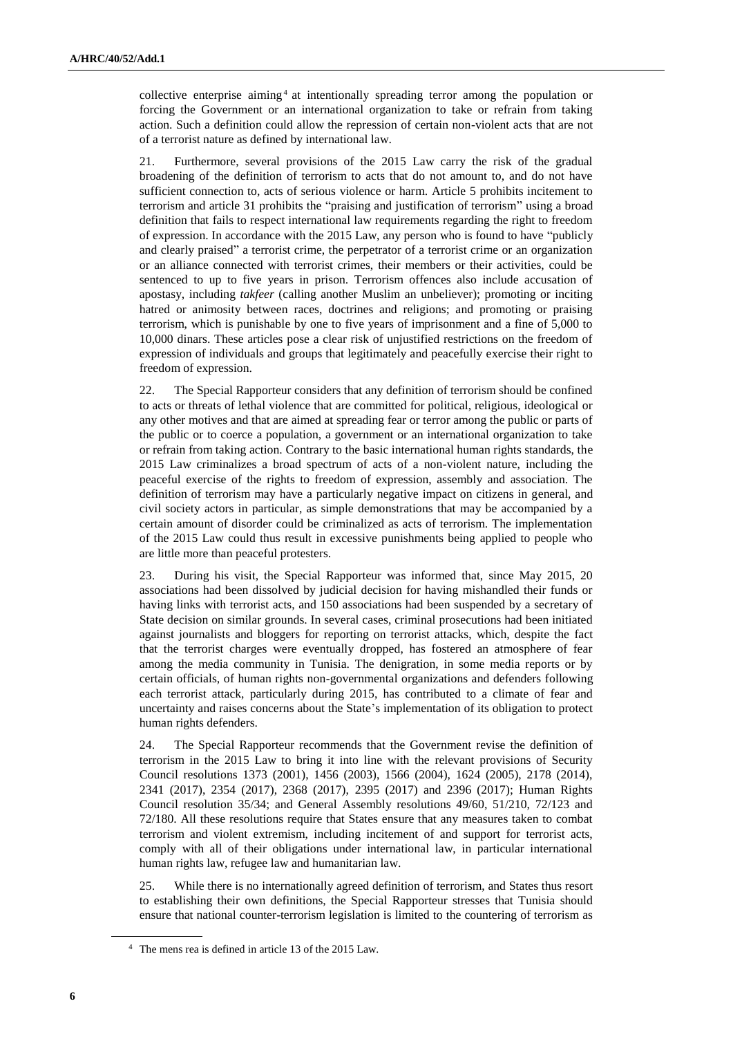collective enterprise aiming <sup>4</sup> at intentionally spreading terror among the population or forcing the Government or an international organization to take or refrain from taking action. Such a definition could allow the repression of certain non-violent acts that are not of a terrorist nature as defined by international law.

21. Furthermore, several provisions of the 2015 Law carry the risk of the gradual broadening of the definition of terrorism to acts that do not amount to, and do not have sufficient connection to, acts of serious violence or harm. Article 5 prohibits incitement to terrorism and article 31 prohibits the "praising and justification of terrorism" using a broad definition that fails to respect international law requirements regarding the right to freedom of expression. In accordance with the 2015 Law, any person who is found to have "publicly and clearly praised" a terrorist crime, the perpetrator of a terrorist crime or an organization or an alliance connected with terrorist crimes, their members or their activities, could be sentenced to up to five years in prison. Terrorism offences also include accusation of apostasy, including *takfeer* (calling another Muslim an unbeliever); promoting or inciting hatred or animosity between races, doctrines and religions; and promoting or praising terrorism, which is punishable by one to five years of imprisonment and a fine of 5,000 to 10,000 dinars. These articles pose a clear risk of unjustified restrictions on the freedom of expression of individuals and groups that legitimately and peacefully exercise their right to freedom of expression.

22. The Special Rapporteur considers that any definition of terrorism should be confined to acts or threats of lethal violence that are committed for political, religious, ideological or any other motives and that are aimed at spreading fear or terror among the public or parts of the public or to coerce a population, a government or an international organization to take or refrain from taking action. Contrary to the basic international human rights standards, the 2015 Law criminalizes a broad spectrum of acts of a non-violent nature, including the peaceful exercise of the rights to freedom of expression, assembly and association. The definition of terrorism may have a particularly negative impact on citizens in general, and civil society actors in particular, as simple demonstrations that may be accompanied by a certain amount of disorder could be criminalized as acts of terrorism. The implementation of the 2015 Law could thus result in excessive punishments being applied to people who are little more than peaceful protesters.

23. During his visit, the Special Rapporteur was informed that, since May 2015, 20 associations had been dissolved by judicial decision for having mishandled their funds or having links with terrorist acts, and 150 associations had been suspended by a secretary of State decision on similar grounds. In several cases, criminal prosecutions had been initiated against journalists and bloggers for reporting on terrorist attacks, which, despite the fact that the terrorist charges were eventually dropped, has fostered an atmosphere of fear among the media community in Tunisia. The denigration, in some media reports or by certain officials, of human rights non-governmental organizations and defenders following each terrorist attack, particularly during 2015, has contributed to a climate of fear and uncertainty and raises concerns about the State's implementation of its obligation to protect human rights defenders.

24. The Special Rapporteur recommends that the Government revise the definition of terrorism in the 2015 Law to bring it into line with the relevant provisions of Security Council resolutions 1373 (2001), 1456 (2003), 1566 (2004), 1624 (2005), 2178 (2014), 2341 (2017), 2354 (2017), 2368 (2017), 2395 (2017) and 2396 (2017); Human Rights Council resolution 35/34; and General Assembly resolutions 49/60, 51/210, 72/123 and 72/180. All these resolutions require that States ensure that any measures taken to combat terrorism and violent extremism, including incitement of and support for terrorist acts, comply with all of their obligations under international law, in particular international human rights law, refugee law and humanitarian law.

25. While there is no internationally agreed definition of terrorism, and States thus resort to establishing their own definitions, the Special Rapporteur stresses that Tunisia should ensure that national counter-terrorism legislation is limited to the countering of terrorism as

<sup>4</sup> The mens rea is defined in article 13 of the 2015 Law.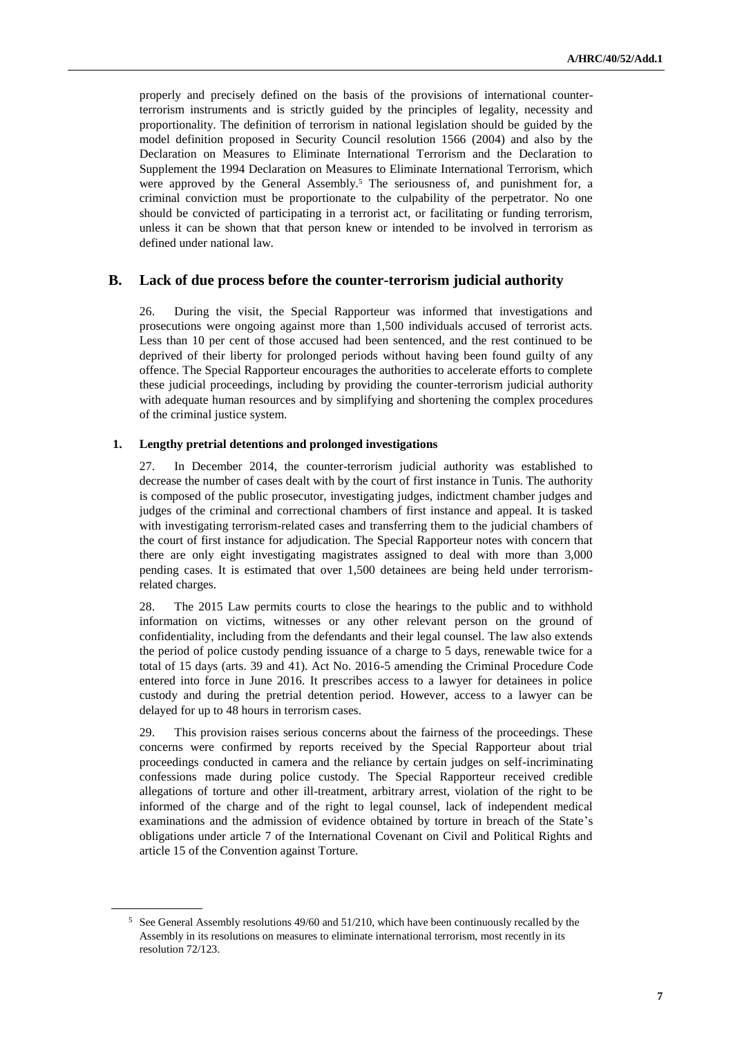properly and precisely defined on the basis of the provisions of international counterterrorism instruments and is strictly guided by the principles of legality, necessity and proportionality. The definition of terrorism in national legislation should be guided by the model definition proposed in Security Council resolution 1566 (2004) and also by the Declaration on Measures to Eliminate International Terrorism and the Declaration to Supplement the 1994 Declaration on Measures to Eliminate International Terrorism, which were approved by the General Assembly.<sup>5</sup> The seriousness of, and punishment for, a criminal conviction must be proportionate to the culpability of the perpetrator. No one should be convicted of participating in a terrorist act, or facilitating or funding terrorism, unless it can be shown that that person knew or intended to be involved in terrorism as defined under national law.

### **B. Lack of due process before the counter-terrorism judicial authority**

26. During the visit, the Special Rapporteur was informed that investigations and prosecutions were ongoing against more than 1,500 individuals accused of terrorist acts. Less than 10 per cent of those accused had been sentenced, and the rest continued to be deprived of their liberty for prolonged periods without having been found guilty of any offence. The Special Rapporteur encourages the authorities to accelerate efforts to complete these judicial proceedings, including by providing the counter-terrorism judicial authority with adequate human resources and by simplifying and shortening the complex procedures of the criminal justice system.

#### **1. Lengthy pretrial detentions and prolonged investigations**

27. In December 2014, the counter-terrorism judicial authority was established to decrease the number of cases dealt with by the court of first instance in Tunis. The authority is composed of the public prosecutor, investigating judges, indictment chamber judges and judges of the criminal and correctional chambers of first instance and appeal. It is tasked with investigating terrorism-related cases and transferring them to the judicial chambers of the court of first instance for adjudication. The Special Rapporteur notes with concern that there are only eight investigating magistrates assigned to deal with more than 3,000 pending cases. It is estimated that over 1,500 detainees are being held under terrorismrelated charges.

28. The 2015 Law permits courts to close the hearings to the public and to withhold information on victims, witnesses or any other relevant person on the ground of confidentiality, including from the defendants and their legal counsel. The law also extends the period of police custody pending issuance of a charge to 5 days, renewable twice for a total of 15 days (arts. 39 and 41). Act No. 2016-5 amending the Criminal Procedure Code entered into force in June 2016. It prescribes access to a lawyer for detainees in police custody and during the pretrial detention period. However, access to a lawyer can be delayed for up to 48 hours in terrorism cases.

29. This provision raises serious concerns about the fairness of the proceedings. These concerns were confirmed by reports received by the Special Rapporteur about trial proceedings conducted in camera and the reliance by certain judges on self-incriminating confessions made during police custody. The Special Rapporteur received credible allegations of torture and other ill-treatment, arbitrary arrest, violation of the right to be informed of the charge and of the right to legal counsel, lack of independent medical examinations and the admission of evidence obtained by torture in breach of the State's obligations under article 7 of the International Covenant on Civil and Political Rights and article 15 of the Convention against Torture.

<sup>5</sup> See General Assembly resolutions 49/60 and 51/210, which have been continuously recalled by the Assembly in its resolutions on measures to eliminate international terrorism, most recently in its resolution 72/123.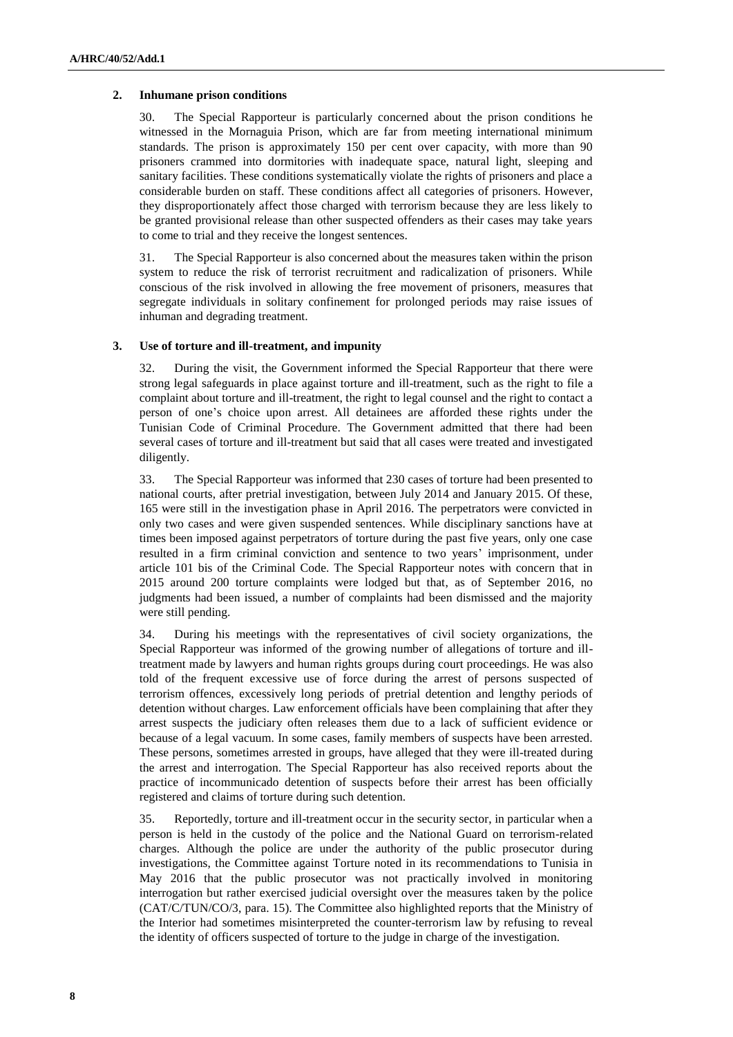#### **2. Inhumane prison conditions**

30. The Special Rapporteur is particularly concerned about the prison conditions he witnessed in the Mornaguia Prison, which are far from meeting international minimum standards. The prison is approximately 150 per cent over capacity, with more than 90 prisoners crammed into dormitories with inadequate space, natural light, sleeping and sanitary facilities. These conditions systematically violate the rights of prisoners and place a considerable burden on staff. These conditions affect all categories of prisoners. However, they disproportionately affect those charged with terrorism because they are less likely to be granted provisional release than other suspected offenders as their cases may take years to come to trial and they receive the longest sentences.

31. The Special Rapporteur is also concerned about the measures taken within the prison system to reduce the risk of terrorist recruitment and radicalization of prisoners. While conscious of the risk involved in allowing the free movement of prisoners, measures that segregate individuals in solitary confinement for prolonged periods may raise issues of inhuman and degrading treatment.

#### **3. Use of torture and ill-treatment, and impunity**

32. During the visit, the Government informed the Special Rapporteur that there were strong legal safeguards in place against torture and ill-treatment, such as the right to file a complaint about torture and ill-treatment, the right to legal counsel and the right to contact a person of one's choice upon arrest. All detainees are afforded these rights under the Tunisian Code of Criminal Procedure. The Government admitted that there had been several cases of torture and ill-treatment but said that all cases were treated and investigated diligently.

33. The Special Rapporteur was informed that 230 cases of torture had been presented to national courts, after pretrial investigation, between July 2014 and January 2015. Of these, 165 were still in the investigation phase in April 2016. The perpetrators were convicted in only two cases and were given suspended sentences. While disciplinary sanctions have at times been imposed against perpetrators of torture during the past five years, only one case resulted in a firm criminal conviction and sentence to two years' imprisonment, under article 101 bis of the Criminal Code. The Special Rapporteur notes with concern that in 2015 around 200 torture complaints were lodged but that, as of September 2016, no judgments had been issued, a number of complaints had been dismissed and the majority were still pending.

34. During his meetings with the representatives of civil society organizations, the Special Rapporteur was informed of the growing number of allegations of torture and illtreatment made by lawyers and human rights groups during court proceedings. He was also told of the frequent excessive use of force during the arrest of persons suspected of terrorism offences, excessively long periods of pretrial detention and lengthy periods of detention without charges. Law enforcement officials have been complaining that after they arrest suspects the judiciary often releases them due to a lack of sufficient evidence or because of a legal vacuum. In some cases, family members of suspects have been arrested. These persons, sometimes arrested in groups, have alleged that they were ill-treated during the arrest and interrogation. The Special Rapporteur has also received reports about the practice of incommunicado detention of suspects before their arrest has been officially registered and claims of torture during such detention.

35. Reportedly, torture and ill-treatment occur in the security sector, in particular when a person is held in the custody of the police and the National Guard on terrorism-related charges. Although the police are under the authority of the public prosecutor during investigations, the Committee against Torture noted in its recommendations to Tunisia in May 2016 that the public prosecutor was not practically involved in monitoring interrogation but rather exercised judicial oversight over the measures taken by the police (CAT/C/TUN/CO/3, para. 15). The Committee also highlighted reports that the Ministry of the Interior had sometimes misinterpreted the counter-terrorism law by refusing to reveal the identity of officers suspected of torture to the judge in charge of the investigation.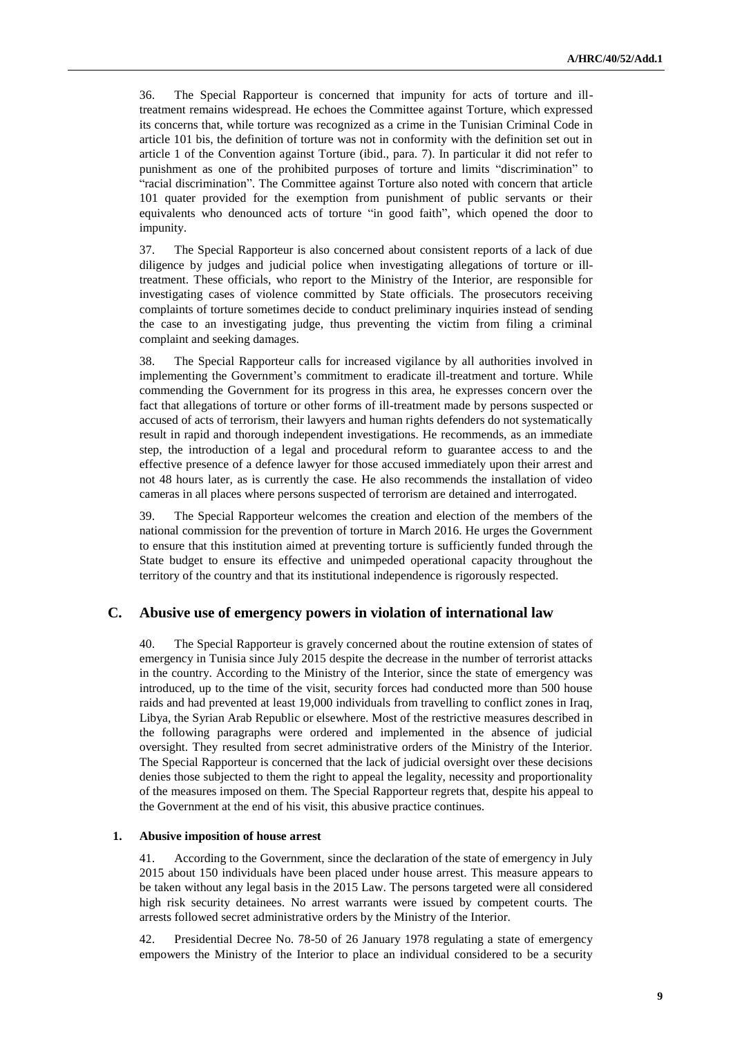36. The Special Rapporteur is concerned that impunity for acts of torture and illtreatment remains widespread. He echoes the Committee against Torture, which expressed its concerns that, while torture was recognized as a crime in the Tunisian Criminal Code in article 101 bis, the definition of torture was not in conformity with the definition set out in article 1 of the Convention against Torture (ibid., para. 7). In particular it did not refer to punishment as one of the prohibited purposes of torture and limits "discrimination" to "racial discrimination". The Committee against Torture also noted with concern that article 101 quater provided for the exemption from punishment of public servants or their equivalents who denounced acts of torture "in good faith", which opened the door to impunity.

37. The Special Rapporteur is also concerned about consistent reports of a lack of due diligence by judges and judicial police when investigating allegations of torture or illtreatment. These officials, who report to the Ministry of the Interior, are responsible for investigating cases of violence committed by State officials. The prosecutors receiving complaints of torture sometimes decide to conduct preliminary inquiries instead of sending the case to an investigating judge, thus preventing the victim from filing a criminal complaint and seeking damages.

38. The Special Rapporteur calls for increased vigilance by all authorities involved in implementing the Government's commitment to eradicate ill-treatment and torture. While commending the Government for its progress in this area, he expresses concern over the fact that allegations of torture or other forms of ill-treatment made by persons suspected or accused of acts of terrorism, their lawyers and human rights defenders do not systematically result in rapid and thorough independent investigations. He recommends, as an immediate step, the introduction of a legal and procedural reform to guarantee access to and the effective presence of a defence lawyer for those accused immediately upon their arrest and not 48 hours later, as is currently the case. He also recommends the installation of video cameras in all places where persons suspected of terrorism are detained and interrogated.

39. The Special Rapporteur welcomes the creation and election of the members of the national commission for the prevention of torture in March 2016. He urges the Government to ensure that this institution aimed at preventing torture is sufficiently funded through the State budget to ensure its effective and unimpeded operational capacity throughout the territory of the country and that its institutional independence is rigorously respected.

#### **C. Abusive use of emergency powers in violation of international law**

40. The Special Rapporteur is gravely concerned about the routine extension of states of emergency in Tunisia since July 2015 despite the decrease in the number of terrorist attacks in the country. According to the Ministry of the Interior, since the state of emergency was introduced, up to the time of the visit, security forces had conducted more than 500 house raids and had prevented at least 19,000 individuals from travelling to conflict zones in Iraq, Libya, the Syrian Arab Republic or elsewhere. Most of the restrictive measures described in the following paragraphs were ordered and implemented in the absence of judicial oversight. They resulted from secret administrative orders of the Ministry of the Interior. The Special Rapporteur is concerned that the lack of judicial oversight over these decisions denies those subjected to them the right to appeal the legality, necessity and proportionality of the measures imposed on them. The Special Rapporteur regrets that, despite his appeal to the Government at the end of his visit, this abusive practice continues.

#### **1. Abusive imposition of house arrest**

41. According to the Government, since the declaration of the state of emergency in July 2015 about 150 individuals have been placed under house arrest. This measure appears to be taken without any legal basis in the 2015 Law. The persons targeted were all considered high risk security detainees. No arrest warrants were issued by competent courts. The arrests followed secret administrative orders by the Ministry of the Interior.

42. Presidential Decree No. 78-50 of 26 January 1978 regulating a state of emergency empowers the Ministry of the Interior to place an individual considered to be a security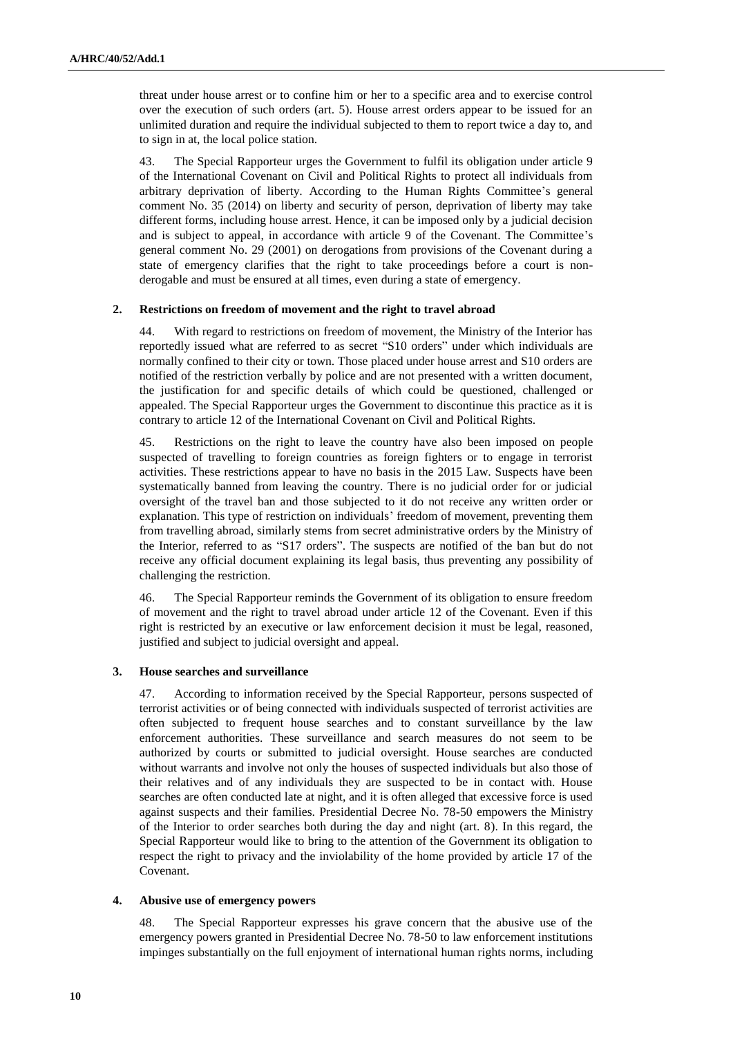threat under house arrest or to confine him or her to a specific area and to exercise control over the execution of such orders (art. 5). House arrest orders appear to be issued for an unlimited duration and require the individual subjected to them to report twice a day to, and to sign in at, the local police station.

43. The Special Rapporteur urges the Government to fulfil its obligation under article 9 of the International Covenant on Civil and Political Rights to protect all individuals from arbitrary deprivation of liberty. According to the Human Rights Committee's general comment No. 35 (2014) on liberty and security of person, deprivation of liberty may take different forms, including house arrest. Hence, it can be imposed only by a judicial decision and is subject to appeal, in accordance with article 9 of the Covenant. The Committee's general comment No. 29 (2001) on derogations from provisions of the Covenant during a state of emergency clarifies that the right to take proceedings before a court is nonderogable and must be ensured at all times, even during a state of emergency.

#### **2. Restrictions on freedom of movement and the right to travel abroad**

44. With regard to restrictions on freedom of movement, the Ministry of the Interior has reportedly issued what are referred to as secret "S10 orders" under which individuals are normally confined to their city or town. Those placed under house arrest and S10 orders are notified of the restriction verbally by police and are not presented with a written document, the justification for and specific details of which could be questioned, challenged or appealed. The Special Rapporteur urges the Government to discontinue this practice as it is contrary to article 12 of the International Covenant on Civil and Political Rights.

45. Restrictions on the right to leave the country have also been imposed on people suspected of travelling to foreign countries as foreign fighters or to engage in terrorist activities. These restrictions appear to have no basis in the 2015 Law. Suspects have been systematically banned from leaving the country. There is no judicial order for or judicial oversight of the travel ban and those subjected to it do not receive any written order or explanation. This type of restriction on individuals' freedom of movement, preventing them from travelling abroad, similarly stems from secret administrative orders by the Ministry of the Interior, referred to as "S17 orders". The suspects are notified of the ban but do not receive any official document explaining its legal basis, thus preventing any possibility of challenging the restriction.

46. The Special Rapporteur reminds the Government of its obligation to ensure freedom of movement and the right to travel abroad under article 12 of the Covenant. Even if this right is restricted by an executive or law enforcement decision it must be legal, reasoned, justified and subject to judicial oversight and appeal.

#### **3. House searches and surveillance**

47. According to information received by the Special Rapporteur, persons suspected of terrorist activities or of being connected with individuals suspected of terrorist activities are often subjected to frequent house searches and to constant surveillance by the law enforcement authorities. These surveillance and search measures do not seem to be authorized by courts or submitted to judicial oversight. House searches are conducted without warrants and involve not only the houses of suspected individuals but also those of their relatives and of any individuals they are suspected to be in contact with. House searches are often conducted late at night, and it is often alleged that excessive force is used against suspects and their families. Presidential Decree No. 78-50 empowers the Ministry of the Interior to order searches both during the day and night (art. 8). In this regard, the Special Rapporteur would like to bring to the attention of the Government its obligation to respect the right to privacy and the inviolability of the home provided by article 17 of the Covenant.

#### **4. Abusive use of emergency powers**

48. The Special Rapporteur expresses his grave concern that the abusive use of the emergency powers granted in Presidential Decree No. 78-50 to law enforcement institutions impinges substantially on the full enjoyment of international human rights norms, including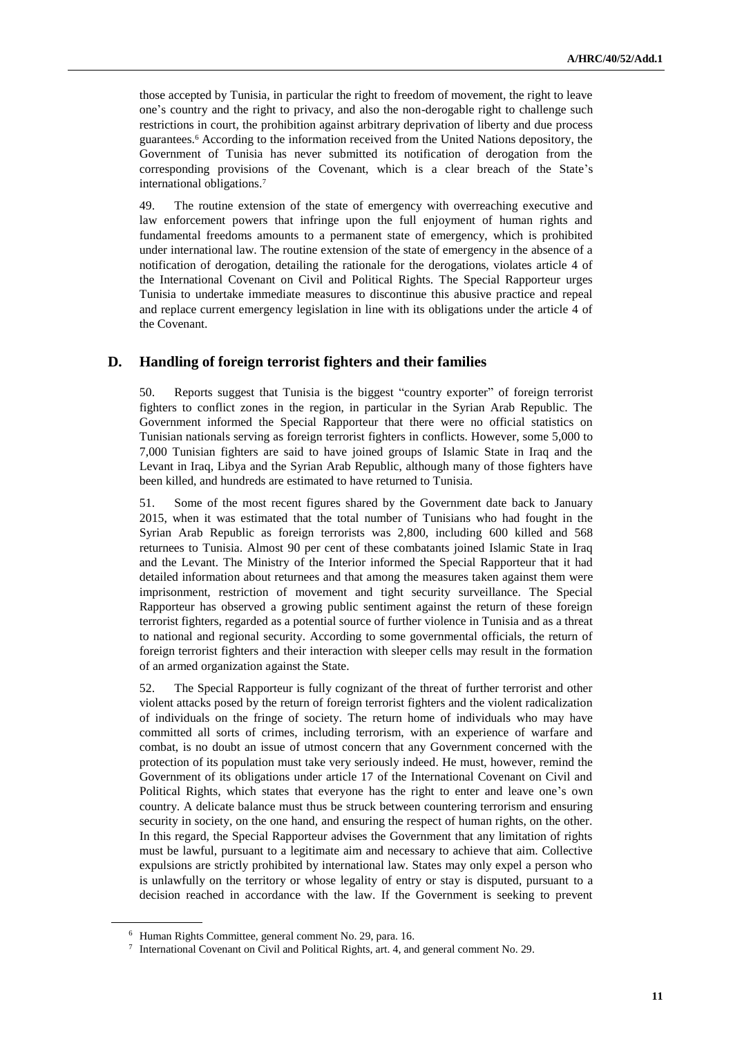those accepted by Tunisia, in particular the right to freedom of movement, the right to leave one's country and the right to privacy, and also the non-derogable right to challenge such restrictions in court, the prohibition against arbitrary deprivation of liberty and due process guarantees.<sup>6</sup> According to the information received from the United Nations depository, the Government of Tunisia has never submitted its notification of derogation from the corresponding provisions of the Covenant, which is a clear breach of the State's international obligations.<sup>7</sup>

49. The routine extension of the state of emergency with overreaching executive and law enforcement powers that infringe upon the full enjoyment of human rights and fundamental freedoms amounts to a permanent state of emergency, which is prohibited under international law. The routine extension of the state of emergency in the absence of a notification of derogation, detailing the rationale for the derogations, violates article 4 of the International Covenant on Civil and Political Rights. The Special Rapporteur urges Tunisia to undertake immediate measures to discontinue this abusive practice and repeal and replace current emergency legislation in line with its obligations under the article 4 of the Covenant.

### **D. Handling of foreign terrorist fighters and their families**

50. Reports suggest that Tunisia is the biggest "country exporter" of foreign terrorist fighters to conflict zones in the region, in particular in the Syrian Arab Republic. The Government informed the Special Rapporteur that there were no official statistics on Tunisian nationals serving as foreign terrorist fighters in conflicts. However, some 5,000 to 7,000 Tunisian fighters are said to have joined groups of Islamic State in Iraq and the Levant in Iraq, Libya and the Syrian Arab Republic, although many of those fighters have been killed, and hundreds are estimated to have returned to Tunisia.

51. Some of the most recent figures shared by the Government date back to January 2015, when it was estimated that the total number of Tunisians who had fought in the Syrian Arab Republic as foreign terrorists was 2,800, including 600 killed and 568 returnees to Tunisia. Almost 90 per cent of these combatants joined Islamic State in Iraq and the Levant. The Ministry of the Interior informed the Special Rapporteur that it had detailed information about returnees and that among the measures taken against them were imprisonment, restriction of movement and tight security surveillance. The Special Rapporteur has observed a growing public sentiment against the return of these foreign terrorist fighters, regarded as a potential source of further violence in Tunisia and as a threat to national and regional security. According to some governmental officials, the return of foreign terrorist fighters and their interaction with sleeper cells may result in the formation of an armed organization against the State.

52. The Special Rapporteur is fully cognizant of the threat of further terrorist and other violent attacks posed by the return of foreign terrorist fighters and the violent radicalization of individuals on the fringe of society. The return home of individuals who may have committed all sorts of crimes, including terrorism, with an experience of warfare and combat, is no doubt an issue of utmost concern that any Government concerned with the protection of its population must take very seriously indeed. He must, however, remind the Government of its obligations under article 17 of the International Covenant on Civil and Political Rights, which states that everyone has the right to enter and leave one's own country. A delicate balance must thus be struck between countering terrorism and ensuring security in society, on the one hand, and ensuring the respect of human rights, on the other. In this regard, the Special Rapporteur advises the Government that any limitation of rights must be lawful, pursuant to a legitimate aim and necessary to achieve that aim. Collective expulsions are strictly prohibited by international law. States may only expel a person who is unlawfully on the territory or whose legality of entry or stay is disputed, pursuant to a decision reached in accordance with the law. If the Government is seeking to prevent

<sup>6</sup> Human Rights Committee, general comment No. 29, para. 16.

<sup>&</sup>lt;sup>7</sup> International Covenant on Civil and Political Rights, art. 4, and general comment No. 29.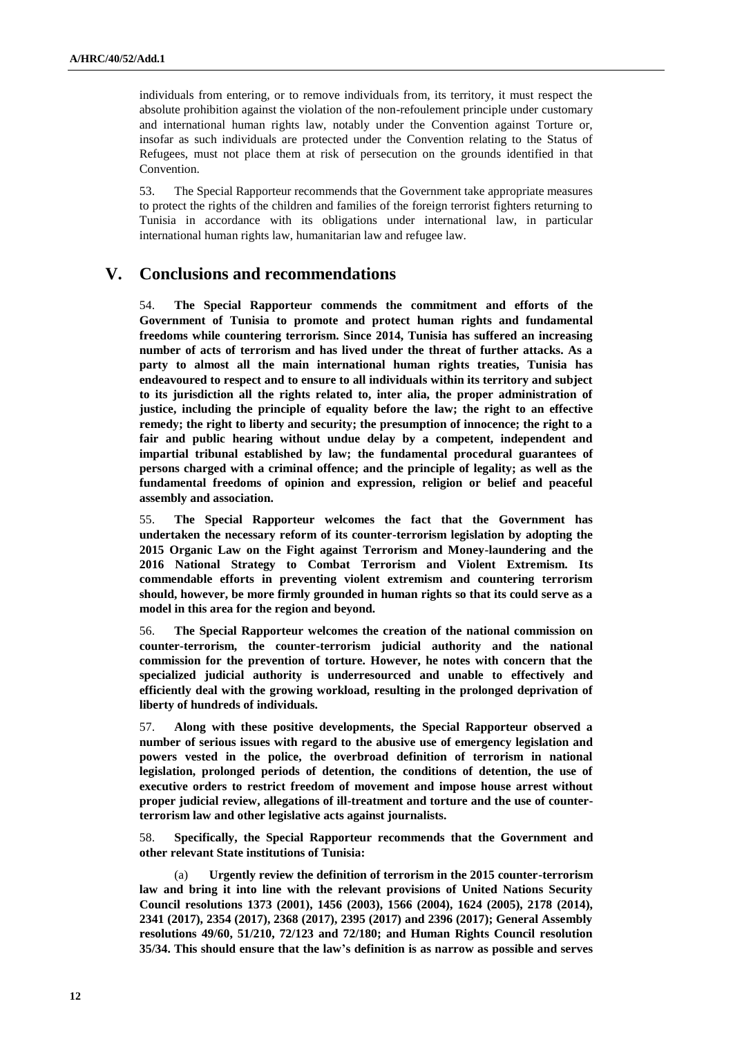individuals from entering, or to remove individuals from, its territory, it must respect the absolute prohibition against the violation of the non-refoulement principle under customary and international human rights law, notably under the Convention against Torture or, insofar as such individuals are protected under the Convention relating to the Status of Refugees, must not place them at risk of persecution on the grounds identified in that Convention.

53. The Special Rapporteur recommends that the Government take appropriate measures to protect the rights of the children and families of the foreign terrorist fighters returning to Tunisia in accordance with its obligations under international law, in particular international human rights law, humanitarian law and refugee law.

### **V. Conclusions and recommendations**

54. **The Special Rapporteur commends the commitment and efforts of the Government of Tunisia to promote and protect human rights and fundamental freedoms while countering terrorism. Since 2014, Tunisia has suffered an increasing number of acts of terrorism and has lived under the threat of further attacks. As a party to almost all the main international human rights treaties, Tunisia has endeavoured to respect and to ensure to all individuals within its territory and subject to its jurisdiction all the rights related to, inter alia, the proper administration of justice, including the principle of equality before the law; the right to an effective remedy; the right to liberty and security; the presumption of innocence; the right to a fair and public hearing without undue delay by a competent, independent and impartial tribunal established by law; the fundamental procedural guarantees of persons charged with a criminal offence; and the principle of legality; as well as the fundamental freedoms of opinion and expression, religion or belief and peaceful assembly and association.**

55. **The Special Rapporteur welcomes the fact that the Government has undertaken the necessary reform of its counter-terrorism legislation by adopting the 2015 Organic Law on the Fight against Terrorism and Money-laundering and the 2016 National Strategy to Combat Terrorism and Violent Extremism. Its commendable efforts in preventing violent extremism and countering terrorism should, however, be more firmly grounded in human rights so that its could serve as a model in this area for the region and beyond.**

56. **The Special Rapporteur welcomes the creation of the national commission on counter-terrorism, the counter-terrorism judicial authority and the national commission for the prevention of torture. However, he notes with concern that the specialized judicial authority is underresourced and unable to effectively and efficiently deal with the growing workload, resulting in the prolonged deprivation of liberty of hundreds of individuals.**

57. **Along with these positive developments, the Special Rapporteur observed a number of serious issues with regard to the abusive use of emergency legislation and powers vested in the police, the overbroad definition of terrorism in national legislation, prolonged periods of detention, the conditions of detention, the use of executive orders to restrict freedom of movement and impose house arrest without proper judicial review, allegations of ill-treatment and torture and the use of counterterrorism law and other legislative acts against journalists.**

58. **Specifically, the Special Rapporteur recommends that the Government and other relevant State institutions of Tunisia:**

(a) **Urgently review the definition of terrorism in the 2015 counter-terrorism law and bring it into line with the relevant provisions of United Nations Security Council resolutions 1373 (2001), 1456 (2003), 1566 (2004), 1624 (2005), 2178 (2014), 2341 (2017), 2354 (2017), 2368 (2017), 2395 (2017) and 2396 (2017); General Assembly resolutions 49/60, 51/210, 72/123 and 72/180; and Human Rights Council resolution 35/34. This should ensure that the law's definition is as narrow as possible and serves**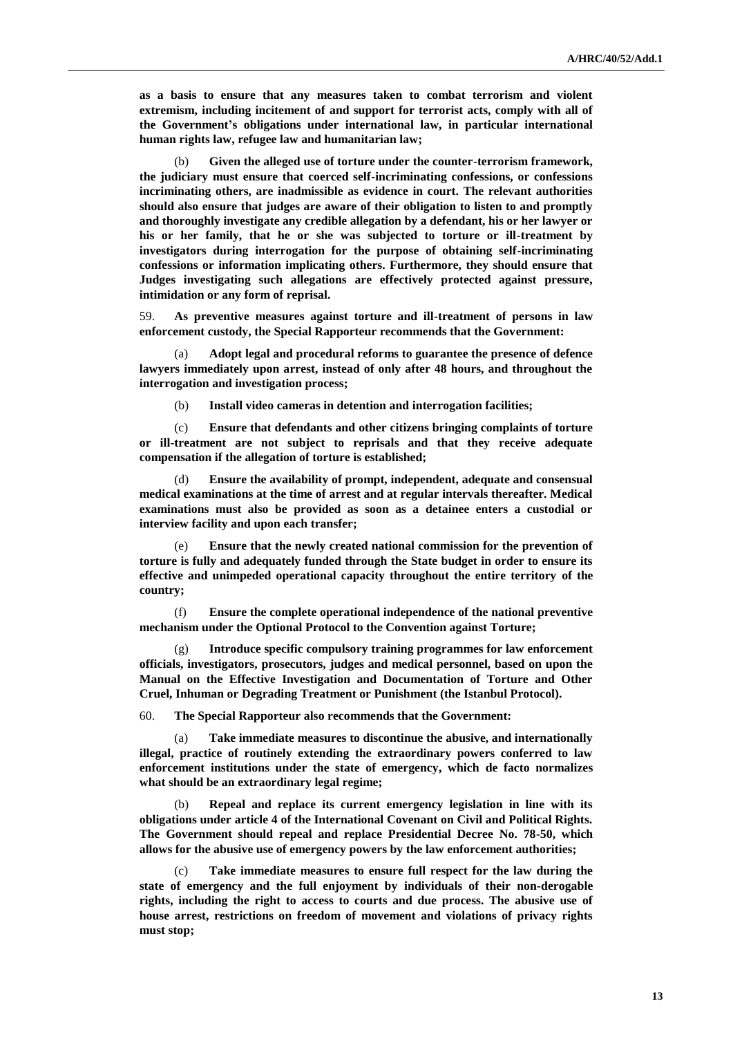**as a basis to ensure that any measures taken to combat terrorism and violent extremism, including incitement of and support for terrorist acts, comply with all of the Government's obligations under international law, in particular international human rights law, refugee law and humanitarian law;** 

(b) **Given the alleged use of torture under the counter-terrorism framework, the judiciary must ensure that coerced self-incriminating confessions, or confessions incriminating others, are inadmissible as evidence in court. The relevant authorities should also ensure that judges are aware of their obligation to listen to and promptly and thoroughly investigate any credible allegation by a defendant, his or her lawyer or his or her family, that he or she was subjected to torture or ill-treatment by investigators during interrogation for the purpose of obtaining self-incriminating confessions or information implicating others. Furthermore, they should ensure that Judges investigating such allegations are effectively protected against pressure, intimidation or any form of reprisal.**

59. **As preventive measures against torture and ill-treatment of persons in law enforcement custody, the Special Rapporteur recommends that the Government:**

(a) **Adopt legal and procedural reforms to guarantee the presence of defence lawyers immediately upon arrest, instead of only after 48 hours, and throughout the interrogation and investigation process;** 

(b) **Install video cameras in detention and interrogation facilities;**

(c) **Ensure that defendants and other citizens bringing complaints of torture or ill-treatment are not subject to reprisals and that they receive adequate compensation if the allegation of torture is established;** 

(d) **Ensure the availability of prompt, independent, adequate and consensual medical examinations at the time of arrest and at regular intervals thereafter. Medical examinations must also be provided as soon as a detainee enters a custodial or interview facility and upon each transfer;**

Ensure that the newly created national commission for the prevention of **torture is fully and adequately funded through the State budget in order to ensure its effective and unimpeded operational capacity throughout the entire territory of the country;**

(f) **Ensure the complete operational independence of the national preventive mechanism under the Optional Protocol to the Convention against Torture;**

Introduce specific compulsory training programmes for law enforcement **officials, investigators, prosecutors, judges and medical personnel, based on upon the Manual on the Effective Investigation and Documentation of Torture and Other Cruel, Inhuman or Degrading Treatment or Punishment (the Istanbul Protocol).**

60. **The Special Rapporteur also recommends that the Government:** 

Take immediate measures to discontinue the abusive, and internationally **illegal, practice of routinely extending the extraordinary powers conferred to law enforcement institutions under the state of emergency, which de facto normalizes what should be an extraordinary legal regime;**

(b) **Repeal and replace its current emergency legislation in line with its obligations under article 4 of the International Covenant on Civil and Political Rights. The Government should repeal and replace Presidential Decree No. 78-50, which allows for the abusive use of emergency powers by the law enforcement authorities;** 

(c) **Take immediate measures to ensure full respect for the law during the state of emergency and the full enjoyment by individuals of their non-derogable rights, including the right to access to courts and due process. The abusive use of house arrest, restrictions on freedom of movement and violations of privacy rights must stop;**